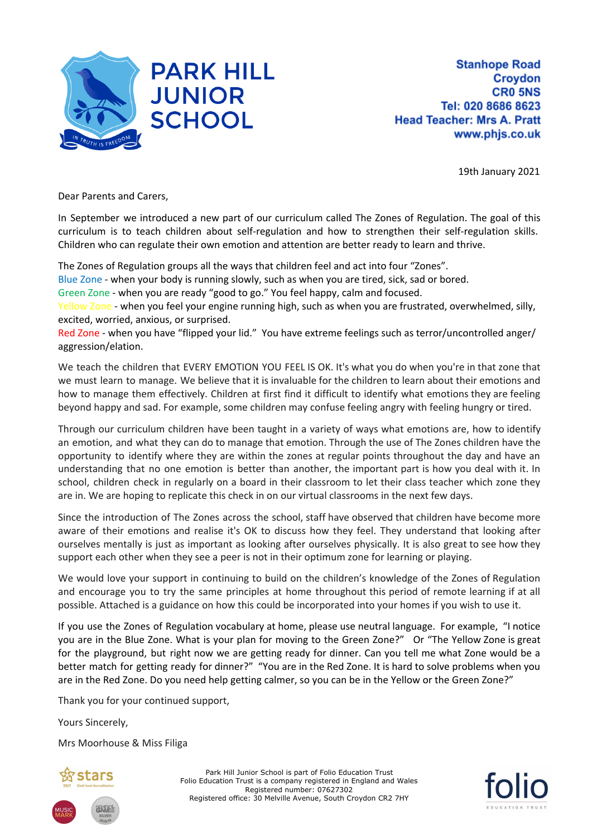

19th January 2021

Dear Parents and Carers,

In September we introduced a new part of our curriculum called The Zones of Regulation. The goal of this curriculum is to teach children about self-regulation and how to strengthen their self-regulation skills. Children who can regulate their own emotion and attention are better ready to learn and thrive.

The Zones of Regulation groups all the ways that children feel and act into four "Zones".

Blue Zone - when your body is running slowly, such as when you are tired, sick, sad or bored.

Green Zone - when you are ready "good to go." You feel happy, calm and focused.

Yellow Zone - when you feel your engine running high, such as when you are frustrated, overwhelmed, silly, excited, worried, anxious, or surprised.

Red Zone - when you have "flipped your lid." You have extreme feelings such as terror/uncontrolled anger/ aggression/elation.

We teach the children that EVERY EMOTION YOU FEEL IS OK. It's what you do when you're in that zone that we must learn to manage. We believe that it is invaluable for the children to learn about their emotions and how to manage them effectively. Children at first find it difficult to identify what emotions they are feeling beyond happy and sad. For example, some children may confuse feeling angry with feeling hungry or tired.

Through our curriculum children have been taught in a variety of ways what emotions are, how to identify an emotion, and what they can do to manage that emotion. Through the use of The Zones children have the opportunity to identify where they are within the zones at regular points throughout the day and have an understanding that no one emotion is better than another, the important part is how you deal with it. In school, children check in regularly on a board in their classroom to let their class teacher which zone they are in. We are hoping to replicate this check in on our virtual classrooms in the next few days.

Since the introduction of The Zones across the school, staff have observed that children have become more aware of their emotions and realise it's OK to discuss how they feel. They understand that looking after ourselves mentally is just as important as looking after ourselves physically. It is also great to see how they support each other when they see a peer is not in their optimum zone for learning or playing.

We would love your support in continuing to build on the children's knowledge of the Zones of Regulation and encourage you to try the same principles at home throughout this period of remote learning if at all possible. Attached is a guidance on how this could be incorporated into your homes if you wish to use it.

If you use the Zones of Regulation vocabulary at home, please use neutral language. For example, "I notice you are in the Blue Zone. What is your plan for moving to the Green Zone?" Or "The Yellow Zone is great for the playground, but right now we are getting ready for dinner. Can you tell me what Zone would be a better match for getting ready for dinner?" "You are in the Red Zone. It is hard to solve problems when you are in the Red Zone. Do you need help getting calmer, so you can be in the Yellow or the Green Zone?"

Thank you for your continued support,

Yours Sincerely,

Mrs Moorhouse & Miss Filiga



Park Hill Junior School is part of Folio Education Trust Folio Education Trust is a company registered in England and Wales Registered number: 07627302 Registered office: 30 Melville Avenue, South Croydon CR2 7HY